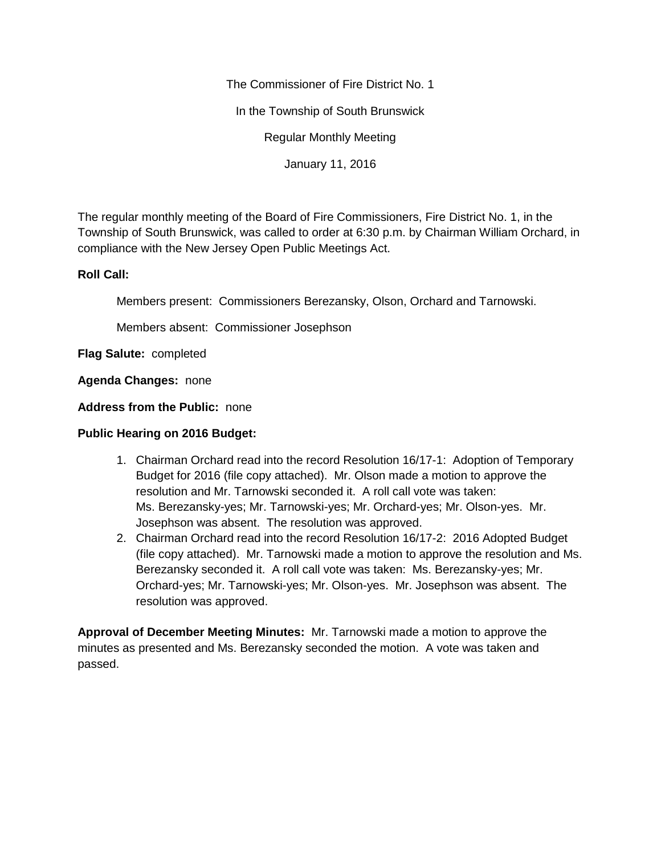The Commissioner of Fire District No. 1

In the Township of South Brunswick

Regular Monthly Meeting

January 11, 2016

The regular monthly meeting of the Board of Fire Commissioners, Fire District No. 1, in the Township of South Brunswick, was called to order at 6:30 p.m. by Chairman William Orchard, in compliance with the New Jersey Open Public Meetings Act.

## **Roll Call:**

Members present: Commissioners Berezansky, Olson, Orchard and Tarnowski.

Members absent: Commissioner Josephson

**Flag Salute:** completed

**Agenda Changes:** none

**Address from the Public:** none

## **Public Hearing on 2016 Budget:**

- 1. Chairman Orchard read into the record Resolution 16/17-1: Adoption of Temporary Budget for 2016 (file copy attached). Mr. Olson made a motion to approve the resolution and Mr. Tarnowski seconded it. A roll call vote was taken: Ms. Berezansky-yes; Mr. Tarnowski-yes; Mr. Orchard-yes; Mr. Olson-yes. Mr. Josephson was absent. The resolution was approved.
- 2. Chairman Orchard read into the record Resolution 16/17-2: 2016 Adopted Budget (file copy attached). Mr. Tarnowski made a motion to approve the resolution and Ms. Berezansky seconded it. A roll call vote was taken: Ms. Berezansky-yes; Mr. Orchard-yes; Mr. Tarnowski-yes; Mr. Olson-yes. Mr. Josephson was absent. The resolution was approved.

**Approval of December Meeting Minutes:** Mr. Tarnowski made a motion to approve the minutes as presented and Ms. Berezansky seconded the motion. A vote was taken and passed.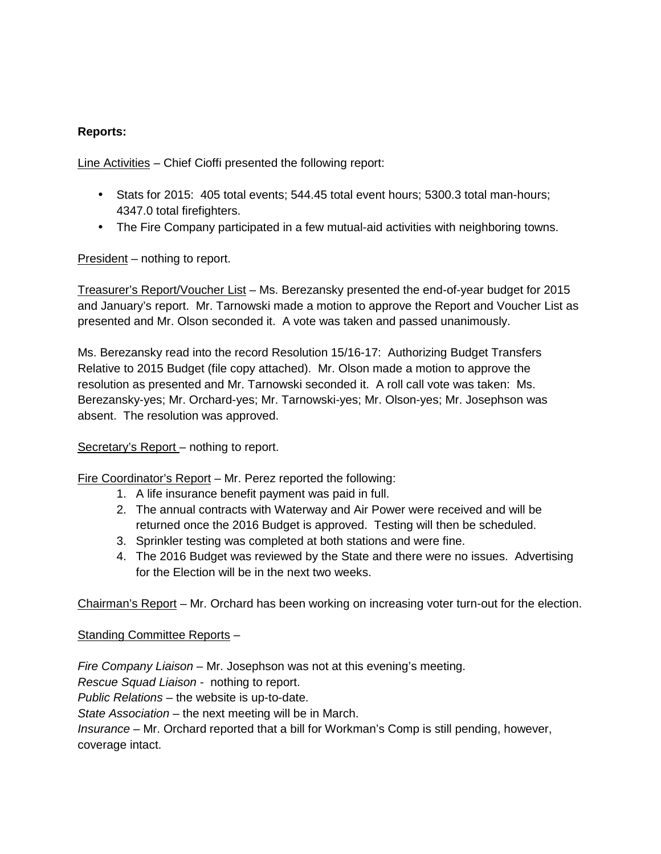## **Reports:**

Line Activities – Chief Cioffi presented the following report:

- Stats for 2015: 405 total events; 544.45 total event hours; 5300.3 total man-hours; 4347.0 total firefighters.
- The Fire Company participated in a few mutual-aid activities with neighboring towns.

President – nothing to report.

Treasurer's Report/Voucher List – Ms. Berezansky presented the end-of-year budget for 2015 and January's report. Mr. Tarnowski made a motion to approve the Report and Voucher List as presented and Mr. Olson seconded it. A vote was taken and passed unanimously.

Ms. Berezansky read into the record Resolution 15/16-17: Authorizing Budget Transfers Relative to 2015 Budget (file copy attached). Mr. Olson made a motion to approve the resolution as presented and Mr. Tarnowski seconded it. A roll call vote was taken: Ms. Berezansky-yes; Mr. Orchard-yes; Mr. Tarnowski-yes; Mr. Olson-yes; Mr. Josephson was absent. The resolution was approved.

Secretary's Report – nothing to report.

Fire Coordinator's Report – Mr. Perez reported the following:

- 1. A life insurance benefit payment was paid in full.
- 2. The annual contracts with Waterway and Air Power were received and will be returned once the 2016 Budget is approved. Testing will then be scheduled.
- 3. Sprinkler testing was completed at both stations and were fine.
- 4. The 2016 Budget was reviewed by the State and there were no issues. Advertising for the Election will be in the next two weeks.

Chairman's Report – Mr. Orchard has been working on increasing voter turn-out for the election.

Standing Committee Reports –

*Fire Company Liaison –* Mr. Josephson was not at this evening's meeting.

*Rescue Squad Liaison -* nothing to report.

*Public Relations –* the website is up-to-date.

*State Association –* the next meeting will be in March.

*Insurance –* Mr. Orchard reported that a bill for Workman's Comp is still pending, however, coverage intact.